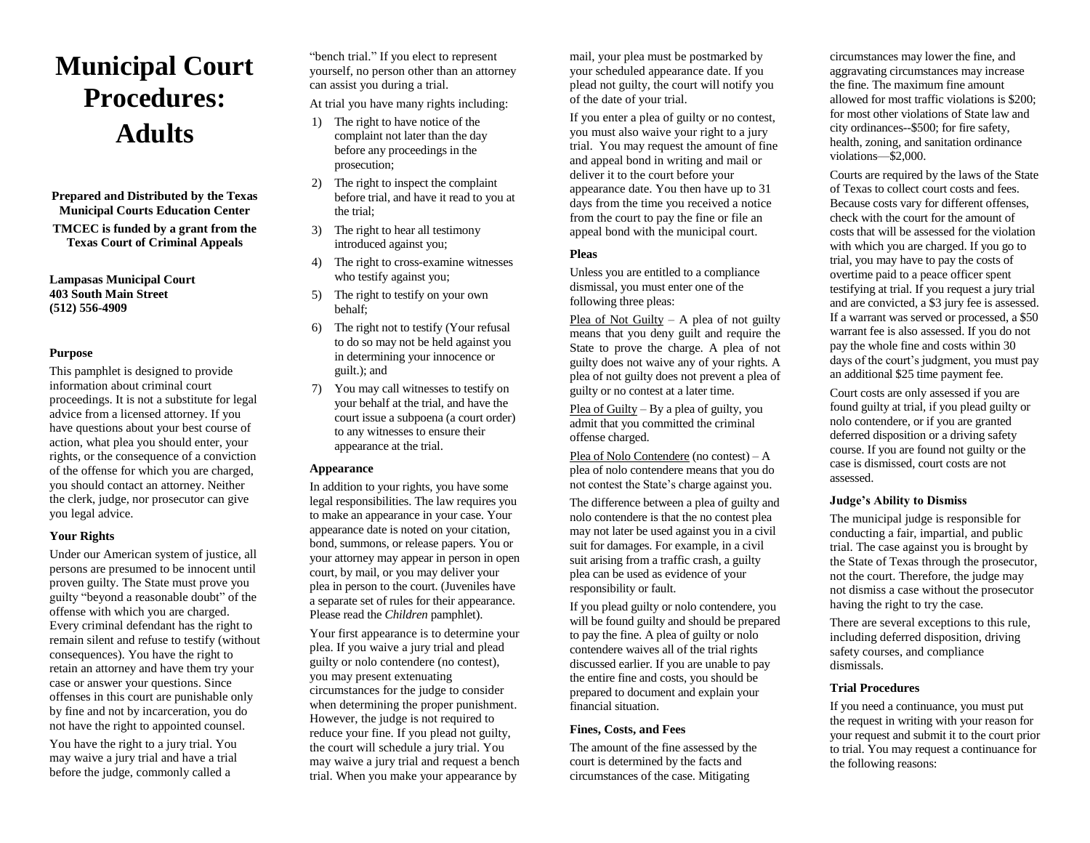# **Municipal Court Procedures: Adults**

**Prepared and Distributed by the Texas Municipal Courts Education Center TMCEC is funded by a grant from the Texas Court of Criminal Appeals**

**Lampasas Municipal Court 403 South Main Street (512) 556-4909**

## **Purpose**

This pamphlet is designed to provide information about criminal court proceedings. It is not a substitute for legal advice from a licensed attorney. If you have questions about your best course of action, what plea you should enter, your rights, or the consequence of a conviction of the offense for which you are charged, you should contact an attorney. Neither the clerk, judge, nor prosecutor can give you legal advice.

## **Your Rights**

Under our American system of justice, all persons are presumed to be innocent until proven guilty. The State must prove you guilty "beyond a reasonable doubt" of the offense with which you are charged. Every criminal defendant has the right to remain silent and refuse to testify (without consequences). You have the right to retain an attorney and have them try your case or answer your questions. Since offenses in this court are punishable only by fine and not by incarceration, you do not have the right to appointed counsel.

You have the right to a jury trial. You may waive a jury trial and have a trial before the judge, commonly called a

"bench trial." If you elect to represent yourself, no person other than an attorney can assist you during a trial.

At trial you have many rights including:

- 1) The right to have notice of the complaint not later than the day before any proceedings in the prosecution;
- 2) The right to inspect the complaint before trial, and have it read to you at the trial;
- 3) The right to hear all testimony introduced against you;
- 4) The right to cross-examine witnesses who testify against you;
- 5) The right to testify on your own behalf;
- 6) The right not to testify (Your refusal to do so may not be held against you in determining your innocence or guilt.); and
- 7) You may call witnesses to testify on your behalf at the trial, and have the court issue a subpoena (a court order) to any witnesses to ensure their appearance at the trial.

## **Appearance**

In addition to your rights, you have some legal responsibilities. The law requires you to make an appearance in your case. Your appearance date is noted on your citation, bond, summons, or release papers. You or your attorney may appear in person in open court, by mail, or you may deliver your plea in person to the court. (Juveniles have a separate set of rules for their appearance. Please read the *Children* pamphlet).

Your first appearance is to determine your plea. If you waive a jury trial and plead guilty or nolo contendere (no contest), you may present extenuating circumstances for the judge to consider when determining the proper punishment. However, the judge is not required to reduce your fine. If you plead not guilty, the court will schedule a jury trial. You may waive a jury trial and request a bench trial. When you make your appearance by

mail, your plea must be postmarked by your scheduled appearance date. If you plead not guilty, the court will notify you of the date of your trial.

If you enter a plea of guilty or no contest, you must also waive your right to a jury trial. You may request the amount of fine and appeal bond in writing and mail or deliver it to the court before your appearance date. You then have up to 31 days from the time you received a notice from the court to pay the fine or file an appeal bond with the municipal court.

## **Pleas**

Unless you are entitled to a compliance dismissal, you must enter one of the following three pleas:

Plea of Not Guilty – A plea of not guilty means that you deny guilt and require the State to prove the charge. A plea of not guilty does not waive any of your rights. A plea of not guilty does not prevent a plea of guilty or no contest at a later time.

Plea of Guilty – By a plea of guilty, you admit that you committed the criminal offense charged.

Plea of Nolo Contendere (no contest) – A plea of nolo contendere means that you do not contest the State's charge against you.

The difference between a plea of guilty and nolo contendere is that the no contest plea may not later be used against you in a civil suit for damages. For example, in a civil suit arising from a traffic crash, a guilty plea can be used as evidence of your responsibility or fault.

If you plead guilty or nolo contendere, you will be found guilty and should be prepared to pay the fine. A plea of guilty or nolo contendere waives all of the trial rights discussed earlier. If you are unable to pay the entire fine and costs, you should be prepared to document and explain your financial situation.

## **Fines, Costs, and Fees**

The amount of the fine assessed by the court is determined by the facts and circumstances of the case. Mitigating

circumstances may lower the fine, and aggravating circumstances may increase the fine. The maximum fine amount allowed for most traffic violations is \$200; for most other violations of State law and city ordinances--\$500; for fire safety, health, zoning, and sanitation ordinance violations—\$2,000.

Courts are required by the laws of the State of Texas to collect court costs and fees. Because costs vary for different offenses, check with the court for the amount of costs that will be assessed for the violation with which you are charged. If you go to trial, you may have to pay the costs of overtime paid to a peace officer spent testifying at trial. If you request a jury trial and are convicted, a \$3 jury fee is assessed. If a warrant was served or processed, a \$50 warrant fee is also assessed. If you do not pay the whole fine and costs within 30 days of the court's judgment, you must pay an additional \$25 time payment fee.

Court costs are only assessed if you are found guilty at trial, if you plead guilty or nolo contendere, or if you are granted deferred disposition or a driving safety course. If you are found not guilty or the case is dismissed, court costs are not assessed.

## **Judge's Ability to Dismiss**

The municipal judge is responsible for conducting a fair, impartial, and public trial. The case against you is brought by the State of Texas through the prosecutor, not the court. Therefore, the judge may not dismiss a case without the prosecutor having the right to try the case.

There are several exceptions to this rule, including deferred disposition, driving safety courses, and compliance dismissals.

## **Trial Procedures**

If you need a continuance, you must put the request in writing with your reason for your request and submit it to the court prior to trial. You may request a continuance for the following reasons: